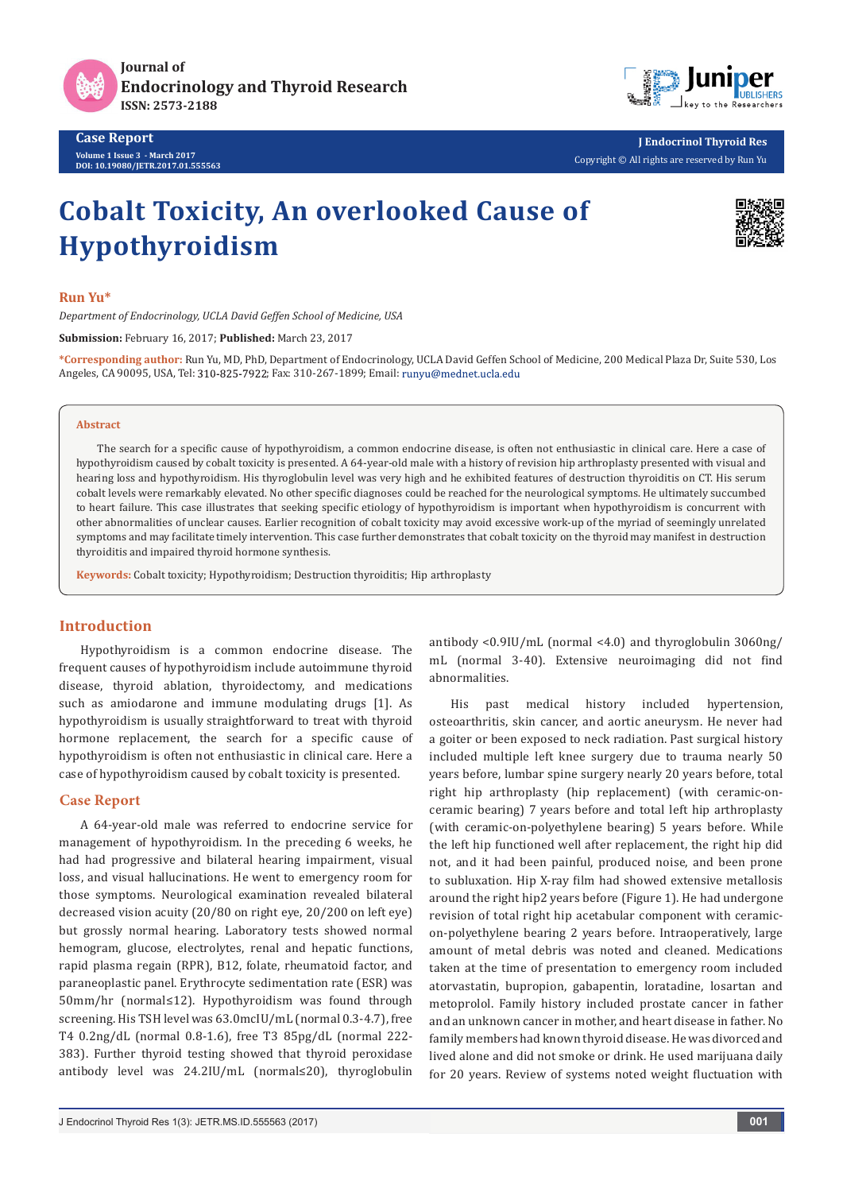

**Journal of Endocrinology and Thyroid Research ISSN: 2573-2188**

**Case Report Volume 1 Issue 3 - March 2017 DOI: [10.19080/JETR.2017.01.555563](http://dx.doi.org/10.19080/JETR.2017.01.555563
)**



**J Endocrinol Thyroid Res** Copyright © All rights are reserved by Run Yu

# **Cobalt Toxicity, An overlooked Cause of Hypothyroidism**



#### **Run Yu\***

*Department of Endocrinology, UCLA David Geffen School of Medicine, USA* 

**Submission:** February 16, 2017; **Published:** March 23, 2017

**\*Corresponding author:** Run Yu, MD, PhD, Department of Endocrinology, UCLA David Geffen School of Medicine, 200 Medical Plaza Dr, Suite 530, Los Angeles, CA 90095, USA, Tel: 310-825-7922; Fax: 310-267-1899; Email: runyu@mednet.ucla.edu

### **Abstract**

The search for a specific cause of hypothyroidism, a common endocrine disease, is often not enthusiastic in clinical care. Here a case of hypothyroidism caused by cobalt toxicity is presented. A 64-year-old male with a history of revision hip arthroplasty presented with visual and hearing loss and hypothyroidism. His thyroglobulin level was very high and he exhibited features of destruction thyroiditis on CT. His serum cobalt levels were remarkably elevated. No other specific diagnoses could be reached for the neurological symptoms. He ultimately succumbed to heart failure. This case illustrates that seeking specific etiology of hypothyroidism is important when hypothyroidism is concurrent with other abnormalities of unclear causes. Earlier recognition of cobalt toxicity may avoid excessive work-up of the myriad of seemingly unrelated symptoms and may facilitate timely intervention. This case further demonstrates that cobalt toxicity on the thyroid may manifest in destruction thyroiditis and impaired thyroid hormone synthesis.

**Keywords:** Cobalt toxicity; Hypothyroidism; Destruction thyroiditis; Hip arthroplasty

## **Introduction**

Hypothyroidism is a common endocrine disease. The frequent causes of hypothyroidism include autoimmune thyroid disease, thyroid ablation, thyroidectomy, and medications such as amiodarone and immune modulating drugs [1]. As hypothyroidism is usually straightforward to treat with thyroid hormone replacement, the search for a specific cause of hypothyroidism is often not enthusiastic in clinical care. Here a case of hypothyroidism caused by cobalt toxicity is presented.

## **Case Report**

A 64-year-old male was referred to endocrine service for management of hypothyroidism. In the preceding 6 weeks, he had had progressive and bilateral hearing impairment, visual loss, and visual hallucinations. He went to emergency room for those symptoms. Neurological examination revealed bilateral decreased vision acuity (20/80 on right eye, 20/200 on left eye) but grossly normal hearing. Laboratory tests showed normal hemogram, glucose, electrolytes, renal and hepatic functions, rapid plasma regain (RPR), B12, folate, rheumatoid factor, and paraneoplastic panel. Erythrocyte sedimentation rate (ESR) was 50mm/hr (normal≤12). Hypothyroidism was found through screening. His TSH level was 63.0mcIU/mL (normal 0.3-4.7), free T4 0.2ng/dL (normal 0.8-1.6), free T3 85pg/dL (normal 222- 383). Further thyroid testing showed that thyroid peroxidase antibody level was 24.2IU/mL (normal≤20), thyroglobulin

antibody <0.9IU/mL (normal <4.0) and thyroglobulin 3060ng/ mL (normal 3-40). Extensive neuroimaging did not find abnormalities.

His past medical history included hypertension, osteoarthritis, skin cancer, and aortic aneurysm. He never had a goiter or been exposed to neck radiation. Past surgical history included multiple left knee surgery due to trauma nearly 50 years before, lumbar spine surgery nearly 20 years before, total right hip arthroplasty (hip replacement) (with ceramic-onceramic bearing) 7 years before and total left hip arthroplasty (with ceramic-on-polyethylene bearing) 5 years before. While the left hip functioned well after replacement, the right hip did not, and it had been painful, produced noise, and been prone to subluxation. Hip X-ray film had showed extensive metallosis around the right hip2 years before (Figure 1). He had undergone revision of total right hip acetabular component with ceramicon-polyethylene bearing 2 years before. Intraoperatively, large amount of metal debris was noted and cleaned. Medications taken at the time of presentation to emergency room included atorvastatin, bupropion, gabapentin, loratadine, losartan and metoprolol. Family history included prostate cancer in father and an unknown cancer in mother, and heart disease in father. No family members had known thyroid disease. He was divorced and lived alone and did not smoke or drink. He used marijuana daily for 20 years. Review of systems noted weight fluctuation with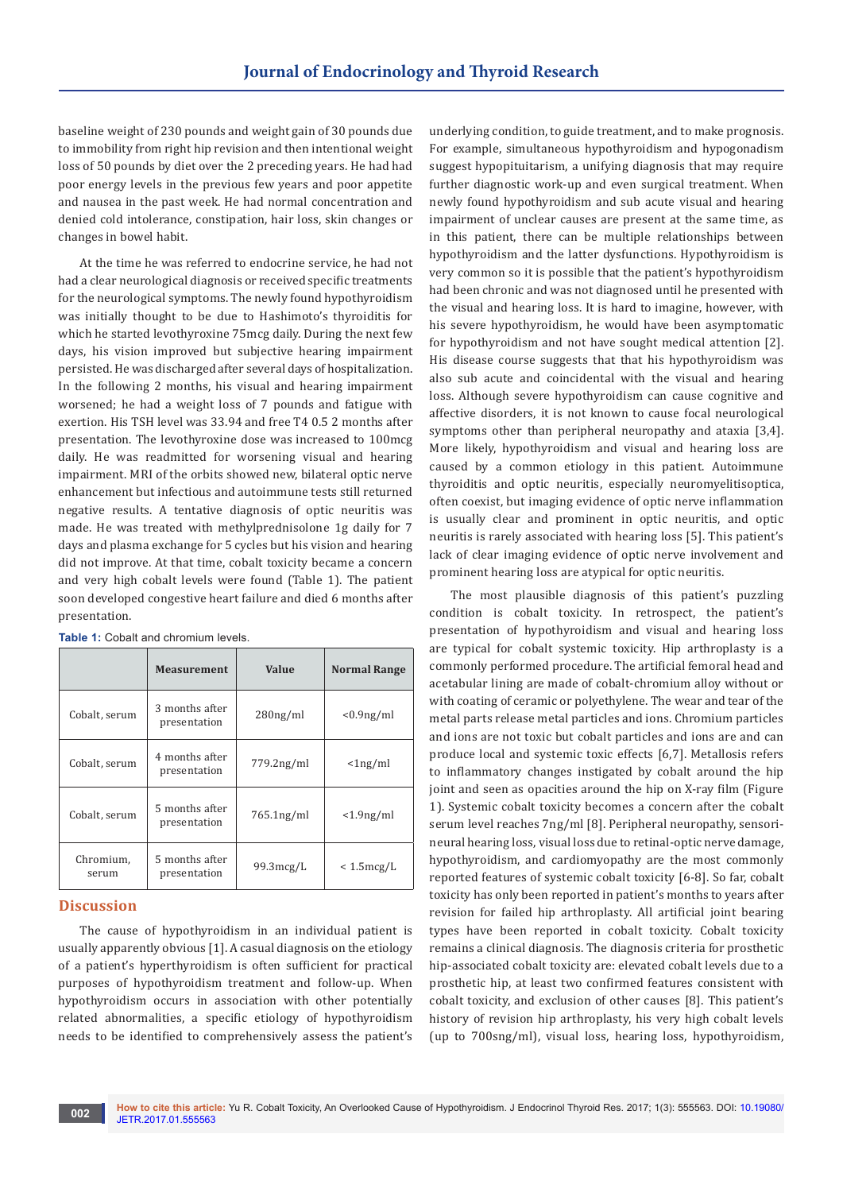baseline weight of 230 pounds and weight gain of 30 pounds due to immobility from right hip revision and then intentional weight loss of 50 pounds by diet over the 2 preceding years. He had had poor energy levels in the previous few years and poor appetite and nausea in the past week. He had normal concentration and denied cold intolerance, constipation, hair loss, skin changes or changes in bowel habit.

At the time he was referred to endocrine service, he had not had a clear neurological diagnosis or received specific treatments for the neurological symptoms. The newly found hypothyroidism was initially thought to be due to Hashimoto's thyroiditis for which he started levothyroxine 75mcg daily. During the next few days, his vision improved but subjective hearing impairment persisted. He was discharged after several days of hospitalization. In the following 2 months, his visual and hearing impairment worsened; he had a weight loss of 7 pounds and fatigue with exertion. His TSH level was 33.94 and free T4 0.5 2 months after presentation. The levothyroxine dose was increased to 100mcg daily. He was readmitted for worsening visual and hearing impairment. MRI of the orbits showed new, bilateral optic nerve enhancement but infectious and autoimmune tests still returned negative results. A tentative diagnosis of optic neuritis was made. He was treated with methylprednisolone 1g daily for 7 days and plasma exchange for 5 cycles but his vision and hearing did not improve. At that time, cobalt toxicity became a concern and very high cobalt levels were found (Table 1). The patient soon developed congestive heart failure and died 6 months after presentation.

|                    | <b>Measurement</b>             | Value               | <b>Normal Range</b> |
|--------------------|--------------------------------|---------------------|---------------------|
| Cobalt, serum      | 3 months after<br>presentation | $280$ ng/ml         | $< 0.9$ ng/ml       |
| Cobalt, serum      | 4 months after<br>presentation | $779.2$ ng/ml       | $\langle 1ng/ml$    |
| Cobalt, serum      | 5 months after<br>presentation | $765.1$ ng/ml       | $<$ 1.9ng/ml        |
| Chromium,<br>serum | 5 months after<br>presentation | $99.3 \text{mcg/L}$ | $< 1.5$ mcg/L       |

**Table 1: Cobalt and chromium levels.** 

## **Discussion**

The cause of hypothyroidism in an individual patient is usually apparently obvious [1]. A casual diagnosis on the etiology of a patient's hyperthyroidism is often sufficient for practical purposes of hypothyroidism treatment and follow-up. When hypothyroidism occurs in association with other potentially related abnormalities, a specific etiology of hypothyroidism needs to be identified to comprehensively assess the patient's

underlying condition, to guide treatment, and to make prognosis. For example, simultaneous hypothyroidism and hypogonadism suggest hypopituitarism, a unifying diagnosis that may require further diagnostic work-up and even surgical treatment. When newly found hypothyroidism and sub acute visual and hearing impairment of unclear causes are present at the same time, as in this patient, there can be multiple relationships between hypothyroidism and the latter dysfunctions. Hypothyroidism is very common so it is possible that the patient's hypothyroidism had been chronic and was not diagnosed until he presented with the visual and hearing loss. It is hard to imagine, however, with his severe hypothyroidism, he would have been asymptomatic for hypothyroidism and not have sought medical attention [2]. His disease course suggests that that his hypothyroidism was also sub acute and coincidental with the visual and hearing loss. Although severe hypothyroidism can cause cognitive and affective disorders, it is not known to cause focal neurological symptoms other than peripheral neuropathy and ataxia [3,4]. More likely, hypothyroidism and visual and hearing loss are caused by a common etiology in this patient. Autoimmune thyroiditis and optic neuritis, especially neuromyelitisoptica, often coexist, but imaging evidence of optic nerve inflammation is usually clear and prominent in optic neuritis, and optic neuritis is rarely associated with hearing loss [5]. This patient's lack of clear imaging evidence of optic nerve involvement and prominent hearing loss are atypical for optic neuritis.

The most plausible diagnosis of this patient's puzzling condition is cobalt toxicity. In retrospect, the patient's presentation of hypothyroidism and visual and hearing loss are typical for cobalt systemic toxicity. Hip arthroplasty is a commonly performed procedure. The artificial femoral head and acetabular lining are made of cobalt-chromium alloy without or with coating of ceramic or polyethylene. The wear and tear of the metal parts release metal particles and ions. Chromium particles and ions are not toxic but cobalt particles and ions are and can produce local and systemic toxic effects [6,7]. Metallosis refers to inflammatory changes instigated by cobalt around the hip joint and seen as opacities around the hip on X-ray film (Figure 1). Systemic cobalt toxicity becomes a concern after the cobalt serum level reaches 7ng/ml [8]. Peripheral neuropathy, sensorineural hearing loss, visual loss due to retinal-optic nerve damage, hypothyroidism, and cardiomyopathy are the most commonly reported features of systemic cobalt toxicity [6-8]. So far, cobalt toxicity has only been reported in patient's months to years after revision for failed hip arthroplasty. All artificial joint bearing types have been reported in cobalt toxicity. Cobalt toxicity remains a clinical diagnosis. The diagnosis criteria for prosthetic hip-associated cobalt toxicity are: elevated cobalt levels due to a prosthetic hip, at least two confirmed features consistent with cobalt toxicity, and exclusion of other causes [8]. This patient's history of revision hip arthroplasty, his very high cobalt levels (up to 700sng/ml), visual loss, hearing loss, hypothyroidism,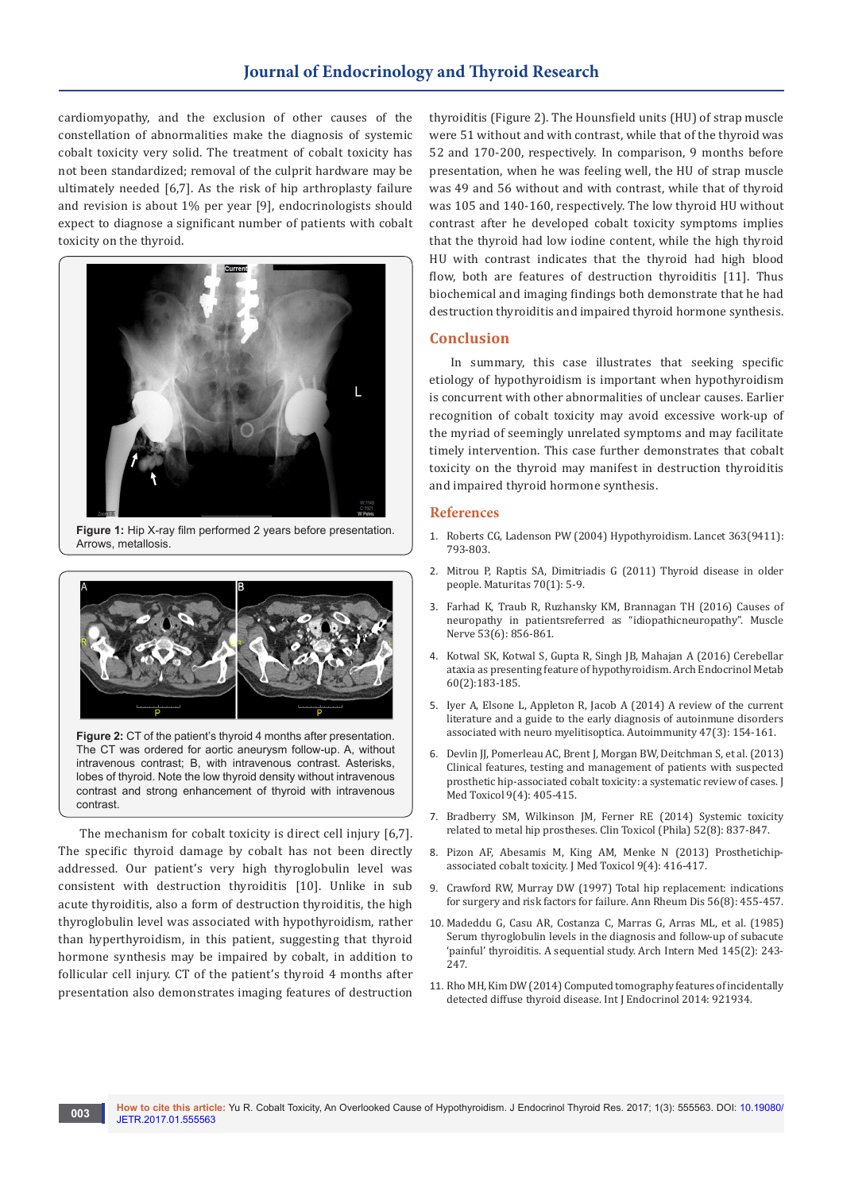# **Journal of Endocrinology and Thyroid Research**

cardiomyopathy, and the exclusion of other causes of the constellation of abnormalities make the diagnosis of systemic cobalt toxicity very solid. The treatment of cobalt toxicity has not been standardized; removal of the culprit hardware may be ultimately needed [6,7]. As the risk of hip arthroplasty failure and revision is about 1% per year [9], endocrinologists should expect to diagnose a significant number of patients with cobalt toxicity on the thyroid.



**Figure 1:** Hip X-ray film performed 2 years before presentation. Arrows, metallosis.



**Figure 2:** CT of the patient's thyroid 4 months after presentation. The CT was ordered for aortic aneurysm follow-up. A, without intravenous contrast; B, with intravenous contrast. Asterisks, lobes of thyroid. Note the low thyroid density without intravenous contrast and strong enhancement of thyroid with intravenous contrast.

The mechanism for cobalt toxicity is direct cell injury [6,7]. The specific thyroid damage by cobalt has not been directly addressed. Our patient's very high thyroglobulin level was consistent with destruction thyroiditis [10]. Unlike in sub acute thyroiditis, also a form of destruction thyroiditis, the high thyroglobulin level was associated with hypothyroidism, rather than hyperthyroidism, in this patient, suggesting that thyroid hormone synthesis may be impaired by cobalt, in addition to follicular cell injury. CT of the patient's thyroid 4 months after presentation also demonstrates imaging features of destruction

thyroiditis (Figure 2). The Hounsfield units (HU) of strap muscle were 51 without and with contrast, while that of the thyroid was 52 and 170-200, respectively. In comparison, 9 months before presentation, when he was feeling well, the HU of strap muscle was 49 and 56 without and with contrast, while that of thyroid was 105 and 140-160, respectively. The low thyroid HU without contrast after he developed cobalt toxicity symptoms implies that the thyroid had low iodine content, while the high thyroid HU with contrast indicates that the thyroid had high blood flow, both are features of destruction thyroiditis [11]. Thus biochemical and imaging findings both demonstrate that he had destruction thyroiditis and impaired thyroid hormone synthesis.

## **Conclusion**

In summary, this case illustrates that seeking specific etiology of hypothyroidism is important when hypothyroidism is concurrent with other abnormalities of unclear causes. Earlier recognition of cobalt toxicity may avoid excessive work-up of the myriad of seemingly unrelated symptoms and may facilitate timely intervention. This case further demonstrates that cobalt toxicity on the thyroid may manifest in destruction thyroiditis and impaired thyroid hormone synthesis.

## **References**

- 1. [Roberts CG, Ladenson PW \(2004\) Hypothyroidism. Lancet 363\(9411\):](https://www.ncbi.nlm.nih.gov/pubmed/15016491)  [793-803.](https://www.ncbi.nlm.nih.gov/pubmed/15016491)
- 2. [Mitrou P, Raptis SA, Dimitriadis G \(2011\) Thyroid disease in older](https://www.ncbi.nlm.nih.gov/pubmed/21719219)  [people. Maturitas 70\(1\): 5-9.](https://www.ncbi.nlm.nih.gov/pubmed/21719219)
- 3. [Farhad K, Traub R, Ruzhansky KM, Brannagan TH \(2016\) Causes of](http://onlinelibrary.wiley.com/doi/10.1002/mus.24969/full)  [neuropathy in patientsreferred as "idiopathicneuropathy". Muscle](http://onlinelibrary.wiley.com/doi/10.1002/mus.24969/full)  [Nerve 53\(6\): 856-861.](http://onlinelibrary.wiley.com/doi/10.1002/mus.24969/full)
- 4. [Kotwal SK, Kotwal S, Gupta R, Singh JB, Mahajan A \(2016\) Cerebellar](https://www.ncbi.nlm.nih.gov/pubmed/26886095)  [ataxia as presenting feature of hypothyroidism. Arch Endocrinol Metab](https://www.ncbi.nlm.nih.gov/pubmed/26886095)  [60\(2\):183-185.](https://www.ncbi.nlm.nih.gov/pubmed/26886095)
- 5. [Iyer A, Elsone L, Appleton R, Jacob A \(2014\) A review of the current](https://www.ncbi.nlm.nih.gov/pubmed/24512514)  [literature and a guide to the early diagnosis of autoinmune disorders](https://www.ncbi.nlm.nih.gov/pubmed/24512514)  [associated with neuro myelitisoptica. Autoimmunity 47\(3\): 154-161.](https://www.ncbi.nlm.nih.gov/pubmed/24512514)
- 6. [Devlin JJ, Pomerleau AC, Brent J, Morgan BW, Deitchman S, et al. \(2013\)](https://www.ncbi.nlm.nih.gov/pubmed/24222555/)  [Clinical features, testing and management of patients with suspected](https://www.ncbi.nlm.nih.gov/pubmed/24222555/)  [prosthetic hip-associated cobalt toxicity: a systematic review of cases. J](https://www.ncbi.nlm.nih.gov/pubmed/24222555/)  [Med Toxicol 9\(4\): 405-415.](https://www.ncbi.nlm.nih.gov/pubmed/24222555/)
- 7. [Bradberry SM, Wilkinson JM, Ferner RE \(2014\) Systemic toxicity](https://www.ncbi.nlm.nih.gov/pubmed/25132471)  [related to metal hip prostheses. Clin Toxicol \(Phila\) 52\(8\): 837-847.](https://www.ncbi.nlm.nih.gov/pubmed/25132471)
- 8. [Pizon AF, Abesamis M, King AM, Menke N \(2013\) Prosthetichip](https://www.ncbi.nlm.nih.gov/pubmed/24258006)[associated cobalt toxicity. J Med Toxicol 9\(4\): 416-417.](https://www.ncbi.nlm.nih.gov/pubmed/24258006)
- 9. [Crawford RW, Murray DW \(1997\) Total hip replacement: indications](https://www.ncbi.nlm.nih.gov/pubmed/9306866/)  [for surgery and risk factors for failure. Ann Rheum Dis 56\(8\): 455-457.](https://www.ncbi.nlm.nih.gov/pubmed/9306866/)
- 10. [Madeddu G, Casu AR, Costanza C, Marras G, Arras ML, et al. \(1985\)](https://www.ncbi.nlm.nih.gov/pubmed/3977482)  [Serum thyroglobulin levels in the diagnosis and follow-up of subacute](https://www.ncbi.nlm.nih.gov/pubmed/3977482)  ['painful' thyroiditis. A sequential study. Arch Intern Med 145\(2\): 243-](https://www.ncbi.nlm.nih.gov/pubmed/3977482) [247.](https://www.ncbi.nlm.nih.gov/pubmed/3977482)
- 11. [Rho MH, Kim DW \(2014\) Computed tomography features of incidentally](https://www.ncbi.nlm.nih.gov/pubmed/25548565/)  [detected diffuse thyroid disease. Int J Endocrinol 2014: 921934.](https://www.ncbi.nlm.nih.gov/pubmed/25548565/)